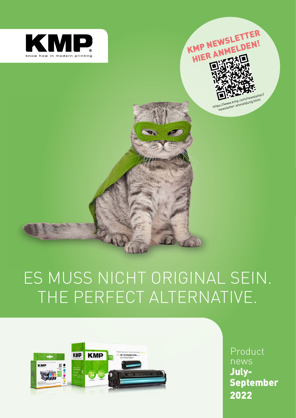



## THE PERFECT ALTERNATIVE. ES MUSS NICHT ORIGINAL SEIN.

 $\mathbf{L}$ 



Product News<br>Product News<br>Product News January-March 2021 2022Product news July-September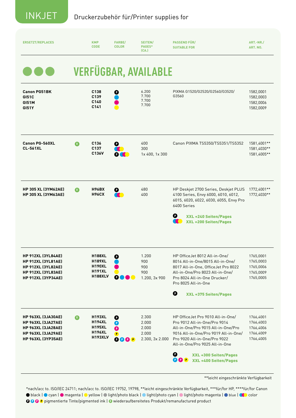| <b>ERSETZT/REPLACES</b>                                                                                                                       |             | <b>KMP</b><br><b>CODE</b>                                                          | <b>FARBE/</b><br><b>COLOR</b>                                | SEITEN/<br>PAGES*<br>(CA.)                          | <b>PASSEND FÜR/</b><br><b>SUITABLE FOR</b>                                                                                                                                                                                                                                             | ART.-NR./<br>ART. NO.                                         |
|-----------------------------------------------------------------------------------------------------------------------------------------------|-------------|------------------------------------------------------------------------------------|--------------------------------------------------------------|-----------------------------------------------------|----------------------------------------------------------------------------------------------------------------------------------------------------------------------------------------------------------------------------------------------------------------------------------------|---------------------------------------------------------------|
|                                                                                                                                               |             |                                                                                    |                                                              | <b>VERFÜGBAR, AVAILABLE</b>                         |                                                                                                                                                                                                                                                                                        |                                                               |
| <b>Canon PG51BK</b><br><b>GI51C</b><br><b>GI51M</b><br><b>GI51Y</b>                                                                           |             | C138<br>C139<br>C140<br>C141                                                       | O                                                            | 6.200<br>7.700<br>7.700<br>7.700                    | PIXMA G1520/G2520/G2560/G3520/<br>G3560                                                                                                                                                                                                                                                | 1582,0001<br>1582,0003<br>1582,0006<br>1582,0009              |
| <b>Canon PG-560XL</b><br><b>CL-561XL</b>                                                                                                      | Q           | C <sub>136</sub><br>C <sub>137</sub><br>C136V                                      | $\bullet$<br><b>OCT</b>                                      | 400<br>300<br>1x 400, 1x 300                        | Canon PIXMA TS5350/TS5351/TS5352                                                                                                                                                                                                                                                       | 1581,4001**<br>1581,4030**<br>1581,4005**                     |
| <b>HP 305 XL (3YM62AE)</b><br><b>HP 305 XL (3YM63AE)</b>                                                                                      | G.          | <b>H96BX</b><br><b>H96CX</b>                                                       | 0<br>$\bullet$                                               | 480<br>400                                          | HP Deskjet 2700 Series, Deskjet PLUS<br>4100 Series, Envy 6000, 6010, 6012,<br>6015, 6020, 6022, 6030, 6055, Envy Pro<br>6400 Series<br>O<br><b>XXL +240 Seiten/Pages</b><br>$\bullet$<br><b>XXL +200 Seiten/Pages</b>                                                                 | 1772,4001**<br>1772,4030**                                    |
| <b>HP 912XL (3YL84AE)</b><br><b>HP 912XL (3YL81AE)</b><br><b>HP 912XL (3YL82AE)</b><br><b>HP 912XL (3YL83AE)</b><br><b>HP 912XL (3YP34AE)</b> |             | <b>H188XL</b><br><b>H189XL</b><br><b>H190XL</b><br><b>H191XL</b><br><b>H188XLV</b> | $\bullet$<br>o                                               | 1.200<br>900<br>900<br>900<br>1.200, 3x 900         | HP OfficeJet 8012 All-in-One/<br>8014 All-in-One/8015 All-in-One/<br>8017 All-in-One, OfficeJet Pro 8022<br>All-in-One/Pro 8023 All-in-One/<br>Pro 8024 All-in-One Drucker/<br>Pro 8025 All-in-One<br>$\mathbf 0$<br><b>XXL +375 Seiten/Pages</b>                                      | 1765,0001<br>1765,0003<br>1765,0006<br>1765,0009<br>1765,0005 |
| <b>HP 963XL (3JA30AE)</b><br><b>HP 963XL (3JA27AE)</b><br><b>HP 963XL (3JA28AE)</b><br><b>HP 963XL (3JA29AE)</b><br><b>HP 963XL (3YP35AE)</b> | $\mathbf 0$ | <b>H193XL</b><br><b>H194XL</b><br><b>H195XL</b><br><b>H196XL</b><br><b>H193XLV</b> | $\mathbf 0$<br>$\bullet$<br>$\mathbf o$<br>$\bullet$<br>OOOP | 2.300<br>2.000<br>2.000<br>2.000<br>2.300, 3x 2.000 | HP OfficeJet Pro 9010 All-in-One/<br>Pro 9012 All-in-One/Pro 9014<br>All-in-One/Pro 9015 All-in-One/Pro<br>9016 All-in-One/Pro 9019 All-in-One/<br>Pro 9020 All-in-One/Pro 9022<br>All-in-One/Pro 9025 All-in-One<br>0<br><b>XXL +300 Seiten/Pages</b><br>OOP<br>XXL +400 Seiten/Pages | 1766,4001<br>1766,4003<br>1766,4006<br>1766,4009<br>1766,4005 |

\*\*leicht eingeschränkte Verfügbarkeit

\*nach/acc to. ISO/IEC 24711; nach/acc to. ISO/IEC 19752, 19798, \*\*leicht eingeschränkte Verfügbarkeit, \*\*\*für/for HP, \*\*\*\*für/for Canon ● black | ● cyan | ● magenta | ● yellow | ● light/photo black | ● light/photo cyan | ● light/photo magenta | ● blue | color **Q Q Q P** pigmentierte Tinte/pigmented ink | **Q** wiederaufbereitetes Produkt/remanufactured product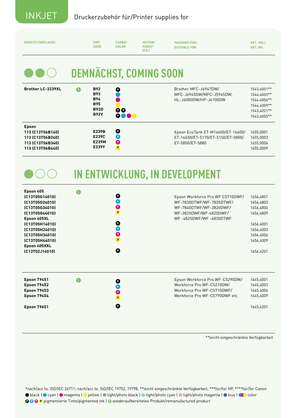| <b>ERSETZT/REPLACES</b>                                                                                                                                                                                    |           | <b>KMP</b><br><b>CODE</b>                                                          | <b>FARBE/</b><br><b>COLOR</b>                                                                         | SEITEN/<br>PAGES*<br>(CA.)    | <b>PASSEND FÜR/</b><br><b>SUITABLE FOR</b>                                                                                                  | ART.-NR./<br>ART. NO.                                                                                             |
|------------------------------------------------------------------------------------------------------------------------------------------------------------------------------------------------------------|-----------|------------------------------------------------------------------------------------|-------------------------------------------------------------------------------------------------------|-------------------------------|---------------------------------------------------------------------------------------------------------------------------------------------|-------------------------------------------------------------------------------------------------------------------|
|                                                                                                                                                                                                            |           |                                                                                    |                                                                                                       | <b>DEMNÄCHST, COMING SOON</b> |                                                                                                                                             |                                                                                                                   |
| <b>Brother LC-3239XL</b>                                                                                                                                                                                   | $\bullet$ | <b>B92</b><br><b>B93</b><br><b>B94</b><br><b>B95</b><br><b>B92D</b><br><b>B92V</b> | O<br>OO<br><b>0000</b>                                                                                |                               | Brother MFC-J6947DW/<br>MFC-J6945DW/MFC-J5945DW,<br>HL-J6000DW/HP-J6100DW                                                                   | 1543,4001**<br>1544,4003**<br>1544,4006 **<br>1544,4009**<br>1543,4021**<br>1543,4005**                           |
| <b>Epson</b><br>113 (C13T06B140)<br>113 (C13T06B240)<br>113 (C13T06B340)<br>113 (C13T06B440)                                                                                                               |           | <b>E239B</b><br>E239C<br>E239M<br>E239Y                                            | O<br>$\bullet$<br>$\bullet$<br>$\blacksquare$                                                         |                               | Epson EcoTank ET-M16600/ET-16600/<br>ET-16650/ET-5170/ET-5150/ET-5800/<br>ET-5850/ET-5880                                                   | 1655,0001<br>1655,0003<br>1655,0006<br>1655,0009                                                                  |
|                                                                                                                                                                                                            |           |                                                                                    |                                                                                                       |                               | <b>IN ENTWICKLUNG, IN DEVELOPMENT</b>                                                                                                       |                                                                                                                   |
| Epson 405<br>(C13T05G14010)<br>(C13T05G24010)<br>(C13T05G34010)<br>(C13T05G44010)<br>Epson 405XL<br>(C13T05H14010)<br>(C13T05H24010)<br>(C13T05H34010)<br>(C13T05H44010)<br>Epson 405XXL<br>(C13T02J14010) | $\bullet$ |                                                                                    | $\mathbf o$<br>$\bullet$<br>$\bullet$<br>$\mathbf{P}$<br>$\boldsymbol{\Theta}$<br>O<br>P<br>$\bullet$ |                               | Epson Workforce Pro WF C5710DWF/<br>WF-7830DTWF/WF-7835DTWF/<br>WF-7840DTWF/WF-3820DWF/<br>WF-3825DWF/WF-4820DWF/<br>WF-4825DWF/WF-4830DTWF | 1656,4801<br>1656,4803<br>1656,4806<br>1656,4809<br>1656,4001<br>1656,4003<br>1656,4006<br>1656,4009<br>1656,4201 |
| Epson T9451<br><b>Epson T9452</b><br><b>Epson T9453</b><br><b>Epson T9454</b><br>Epson T9651                                                                                                               | $\bullet$ |                                                                                    | O<br>$\bullet$<br>O<br>O                                                                              |                               | Epson Workforce Pro WF-C5290DW/<br>Workforce Pro WF-C5210DW/<br>Workforce Pro WF-C5710DWF/<br>Workforce Pro WF-C5790DWF etc.                | 1645,4001<br>1645,4003<br>1645,4006<br>1645,4009<br>1645,4201                                                     |

\*\*leicht eingeschränkte Verfügbarkeit

\*nach/acc to. ISO/IEC 24711; nach/acc to. ISO/IEC 19752, 19798, \*\*leicht eingeschränkte Verfügbarkeit, \*\*\*für/for HP, \*\*\*\*für/for Canon ● black | ● cyan | ● magenta | ● yellow | ● light/photo black | ● light/photo cyan | ● light/photo magenta | ● blue | CO color **Q Q Q P** pigmentierte Tinte/pigmented ink | **Q** wiederaufbereitetes Produkt/remanufactured product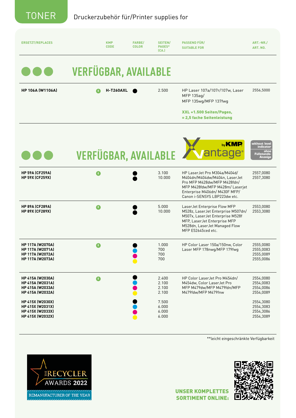| <b>ERSETZT/REPLACES</b>                                                                                                                                                           | <b>KMP</b><br><b>CODE</b>   | <b>FARBE/</b><br><b>COLOR</b> | <b>SEITEN/</b><br>PAGES*<br>(CA.)                                    | <b>PASSEND FÜR/</b><br><b>SUITABLE FOR</b>                                                                                                                                                       | ART.-NR./<br>ART. NO.                                                                                |  |  |
|-----------------------------------------------------------------------------------------------------------------------------------------------------------------------------------|-----------------------------|-------------------------------|----------------------------------------------------------------------|--------------------------------------------------------------------------------------------------------------------------------------------------------------------------------------------------|------------------------------------------------------------------------------------------------------|--|--|
| <b>VERFÜGBAR, AVAILABLE</b>                                                                                                                                                       |                             |                               |                                                                      |                                                                                                                                                                                                  |                                                                                                      |  |  |
| <b>HP 106A (W1106A)</b>                                                                                                                                                           | <b>H-T260AXL</b>            |                               | 2.500                                                                | HP Laser 107a/107r/107w, Laser<br>MFP 135ag/<br>MFP 135wg/MFP 137fwg                                                                                                                             | 2556,5000                                                                                            |  |  |
|                                                                                                                                                                                   |                             |                               |                                                                      | XXL +1.500 Seiten/Pages,<br>= 2,5 fache Seitenleistung                                                                                                                                           |                                                                                                      |  |  |
|                                                                                                                                                                                   | <b>VERFÜGBAR, AVAILABLE</b> |                               |                                                                      | by <b>KMP</b><br>antage                                                                                                                                                                          | without level<br>indicator<br>ohne<br>•Füllstands<br><b>Anzeig</b>                                   |  |  |
| <b>HP 59A (CF259A)</b><br><b>HP 59X (CF259X)</b>                                                                                                                                  | G.                          |                               | 3.100<br>10.000                                                      | HP LaserJet Pro M304a/M404d/<br>M404dn/M404dw/M404n, LaserJet<br>Pro MFP M428dw/MFP M428fdn/<br>MFP M428fdw/MFP M428m/ Laserjet<br>Enterprise M406dn/ M430F MFP/<br>Canon i-SENSYS LBP223dw etc. | 2557,0080<br>2557,3080                                                                               |  |  |
| <b>HP 89A (CF289A)</b><br><b>HP 89X (CF289X)</b>                                                                                                                                  | R                           |                               | 5.000<br>10.000                                                      | LaserJet Enterprise Flow MFP<br>M528z, LaserJet Enterprise M507dn/<br>M507x, LaserJet Enterprise M528f<br>MFP, LaserJet Enterprise MFP<br>M528dn, LaserJet Managed Flow<br>MFP E52645ced etc.    | 2553,0080<br>2553,3080                                                                               |  |  |
| <b>HP 117A (W2070A)</b><br><b>HP 117A (W2071A)</b><br><b>HP 117A (W2072A)</b><br><b>HP 117A (W2073A)</b>                                                                          | $\overline{R}$              |                               | 1.000<br>700<br>700<br>700                                           | HP Color Laser 150a/150nw, Color<br>Laser MFP 178nwg/MFP 179fwg                                                                                                                                  | 2555,0080<br>2555,0083<br>2555,0089<br>2555,0086                                                     |  |  |
| <b>HP 415A (W2030A)</b><br><b>HP 415A (W2031A)</b><br>HP 415A (W2033A)<br><b>HP 415A (W2032A)</b><br>HP 415X (W2030X)<br>HP 415X (W2031X)<br>HP 415X (W2033X)<br>HP 415X (W2032X) | $\mathbf 0$                 |                               | 2.400<br>2.100<br>2.100<br>2.100<br>7.500<br>6.000<br>6.000<br>6.000 | HP Color LaserJet Pro M454dn/<br>M454dw, Color LaserJet Pro<br>MFP M479dw/MFP M479fdn/MFP<br>M479fdw/MFP M479fnw                                                                                 | 2554,0080<br>2554,0083<br>2554,0086<br>2554,0089<br>2554,3080<br>2554,3083<br>2554,3086<br>2554,3089 |  |  |

\*\*leicht eingeschränkte Verfügbarkeit





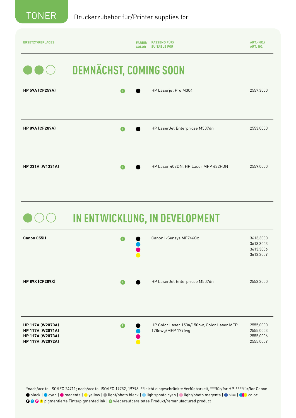

| <b>ERSETZT/REPLACES</b> | FARBE/<br><b>COLOR</b>        | <b>PASSEND FÜR/</b><br><b>SUITABLE FOR</b> | ART.-NR./<br>ART. NO. |  |  |  |  |
|-------------------------|-------------------------------|--------------------------------------------|-----------------------|--|--|--|--|
|                         | <b>DEMNÄCHST, COMING SOON</b> |                                            |                       |  |  |  |  |
| <b>HP 59A (CF259A)</b>  |                               | HP Laserjet Pro M304                       | 2557,3000             |  |  |  |  |
|                         |                               |                                            |                       |  |  |  |  |
| <b>HP 89A (CF289A)</b>  |                               | HP LaserJet Enterpricse M507dn             | 2553,0000             |  |  |  |  |
| HP 331A (W1331A)        |                               | HP Laser 408DN, HP Laser MFP 432FDN        | 2559,0000             |  |  |  |  |

 **IN ENTWICKLUNG, IN DEVELOPMENT** 

| Canon 055H                                                                                               |   | Canon i-Sensys MF746Cx                                          | 3613,3000<br>3613,3003<br>3613,3006<br>3613,3009 |
|----------------------------------------------------------------------------------------------------------|---|-----------------------------------------------------------------|--------------------------------------------------|
| <b>HP 89X (CF289X)</b>                                                                                   |   | HP LaserJet Enterpricse M507dn                                  | 2553,3000                                        |
| <b>HP 117A (W2070A)</b><br><b>HP 117A (W2071A)</b><br><b>HP 117A (W2073A)</b><br><b>HP 117A (W2072A)</b> | R | HP Color Laser 150a/150nw, Color Laser MFP<br>178nwg/MFP 179fwg | 2555,0000<br>2555,0003<br>2555,0006<br>2555,0009 |

\*nach/acc to. ISO/IEC 24711; nach/acc to. ISO/IEC 19752, 19798, \*\*leicht eingeschränkte Verfügbarkeit, \*\*\*für/for HP, \*\*\*\*für/for Canon ● black | ● cyan | ● magenta | ● yellow | ● light/photo black | ● light/photo cyan | ● light/photo magenta | ● blue | CO color **Q Q Q P** pigmentierte Tinte/pigmented ink | **Q** wiederaufbereitetes Produkt/remanufactured product